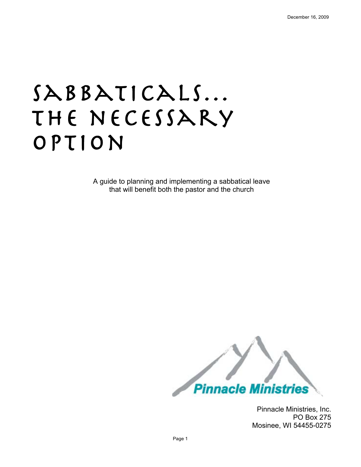# SABBATICALS... THE NECESSARY option

A guide to planning and implementing a sabbatical leave that will benefit both the pastor and the church



Pinnacle Ministries, Inc. PO Box 275 Mosinee, WI 54455-0275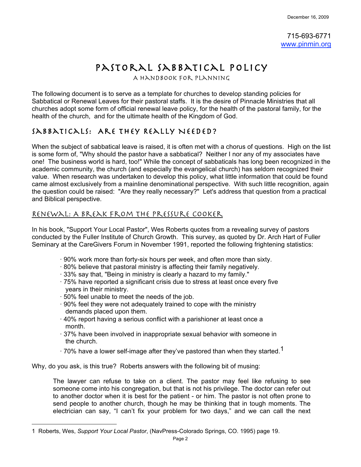715-693-6771 www.pinmin.org

# PASTORAL SABBATICAL POLICY

The following document is to serve as a template for churches to develop standing policies for Sabbatical or Renewal Leaves for their pastoral staffs. It is the desire of Pinnacle Ministries that all churches adopt some form of official renewal leave policy, for the health of the pastoral family, for the health of the church, and for the ultimate health of the Kingdom of God.

# Sabbaticals: Are They Really Needed?

When the subject of sabbatical leave is raised, it is often met with a chorus of questions. High on the list is some form of, "Why should the pastor have a sabbatical? Neither I nor any of my associates have one! The business world is hard, too!" While the concept of sabbaticals has long been recognized in the academic community, the church (and especially the evangelical church) has seldom recognized their value. When research was undertaken to develop this policy, what little information that could be found came almost exclusively from a mainline denominational perspective. With such little recognition, again the question could be raised: "Are they really necessary?" Let's address that question from a practical and Biblical perspective.

### Renewal: A Break From The Pressure Cooker

In his book, "Support Your Local Pastor", Wes Roberts quotes from a revealing survey of pastors conducted by the Fuller Institute of Church Growth. This survey, as quoted by Dr. Arch Hart of Fuller Seminary at the CareGivers Forum in November 1991, reported the following frightening statistics:

- · 90% work more than forty-six hours per week, and often more than sixty.
- · 80% believe that pastoral ministry is affecting their family negatively.
- · 33% say that, "Being in ministry is clearly a hazard to my family."
- · 75% have reported a significant crisis due to stress at least once every five years in their ministry.
- · 50% feel unable to meet the needs of the job.

 $\overline{a}$ 

- · 90% feel they were not adequately trained to cope with the ministry demands placed upon them.
- · 40% report having a serious conflict with a parishioner at least once a month.
- · 37% have been involved in inappropriate sexual behavior with someone in the church.
- $\cdot$  70% have a lower self-image after they've pastored than when they started.<sup>1</sup>

Why, do you ask, is this true? Roberts answers with the following bit of musing:

The lawyer can refuse to take on a client. The pastor may feel like refusing to see someone come into his congregation, but that is not his privilege. The doctor can refer out to another doctor when it is best for the patient - or him. The pastor is not often prone to send people to another church, though he may be thinking that in tough moments. The electrician can say, "I can't fix your problem for two days," and we can call the next

<sup>1</sup> Roberts, Wes, *Support Your Local Pastor*, (NavPress-Colorado Springs, CO. 1995) page 19.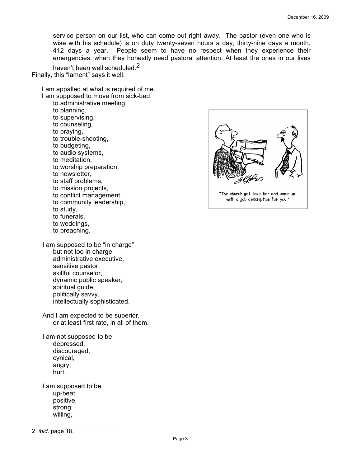service person on our list, who can come out right away. The pastor (even one who is wise with his schedule) is on duty twenty-seven hours a day, thirty-nine days a month, 412 days a year. People seem to have no respect when they experience their emergencies, when they honestly need pastoral attention. At least the ones in our lives

haven't been well scheduled.<sup>2</sup> Finally, this "lament" says it well:

I am appalled at what is required of me. I am supposed to move from sick-bed

to administrative meeting, to planning, to supervising, to counseling, to praying, to trouble-shooting, to budgeting, to audio systems, to meditation, to worship preparation, to newsletter, to staff problems, to mission projects, to conflict management, to community leadership, to study, to funerals, to weddings, to preaching.

I am supposed to be "in charge" but not too in charge, administrative executive, sensitive pastor, skillful counselor, dynamic public speaker, spiritual guide, politically savvy, intellectually sophisticated.

And I am expected to be superior, or at least first rate, in all of them.

I am not supposed to be depressed, discouraged, cynical, angry, hurt.

I am supposed to be up-beat, positive, strong, willing,



<sup>2</sup> *ibid.* page 18.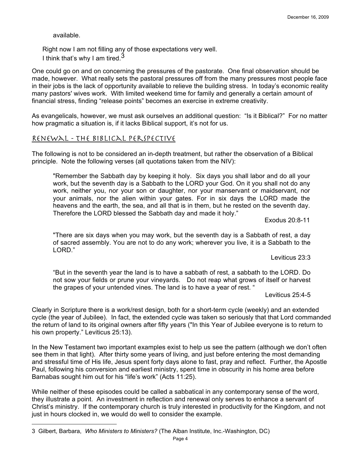available.

 $\overline{a}$ 

Right now I am not filling any of those expectations very well. I think that's why I am tired. $3$ 

One could go on and on concerning the pressures of the pastorate. One final observation should be made, however. What really sets the pastoral pressures off from the many pressures most people face in their jobs is the lack of opportunity available to relieve the building stress. In today's economic reality many pastors' wives work. With limited weekend time for family and generally a certain amount of financial stress, finding "release points" becomes an exercise in extreme creativity.

As evangelicals, however, we must ask ourselves an additional question: "Is it Biblical?" For no matter how pragmatic a situation is, if it lacks Biblical support, it's not for us.

#### Renewal - The Biblical Perspective

The following is not to be considered an in-depth treatment, but rather the observation of a Biblical principle. Note the following verses (all quotations taken from the NIV):

"Remember the Sabbath day by keeping it holy. Six days you shall labor and do all your work, but the seventh day is a Sabbath to the LORD your God. On it you shall not do any work, neither you, nor your son or daughter, nor your manservant or maidservant, nor your animals, nor the alien within your gates. For in six days the LORD made the heavens and the earth, the sea, and all that is in them, but he rested on the seventh day. Therefore the LORD blessed the Sabbath day and made it holy."

Exodus 20:8-11

"There are six days when you may work, but the seventh day is a Sabbath of rest, a day of sacred assembly. You are not to do any work; wherever you live, it is a Sabbath to the LORD."

Leviticus 23:3

"But in the seventh year the land is to have a sabbath of rest, a sabbath to the LORD. Do not sow your fields or prune your vineyards. Do not reap what grows of itself or harvest the grapes of your untended vines. The land is to have a year of rest. "

Leviticus 25:4-5

Clearly in Scripture there is a work/rest design, both for a short-term cycle (weekly) and an extended cycle (the year of Jubilee). In fact, the extended cycle was taken so seriously that that Lord commanded the return of land to its original owners after fifty years ("In this Year of Jubilee everyone is to return to his own property." Leviticus 25:13).

In the New Testament two important examples exist to help us see the pattern (although we don't often see them in that light). After thirty some years of living, and just before entering the most demanding and stressful time of His life, Jesus spent forty days alone to fast, pray and reflect. Further, the Apostle Paul, following his conversion and earliest ministry, spent time in obscurity in his home area before Barnabas sought him out for his "life's work" (Acts 11:25).

While neither of these episodes could be called a sabbatical in any contemporary sense of the word, they illustrate a point. An investment in reflection and renewal only serves to enhance a servant of Christ's ministry. If the contemporary church is truly interested in productivity for the Kingdom, and not just in hours clocked in, we would do well to consider the example.

<sup>3</sup> Gilbert, Barbara, *Who Ministers to Ministers?* (The Alban Institute, Inc.-Washington, DC)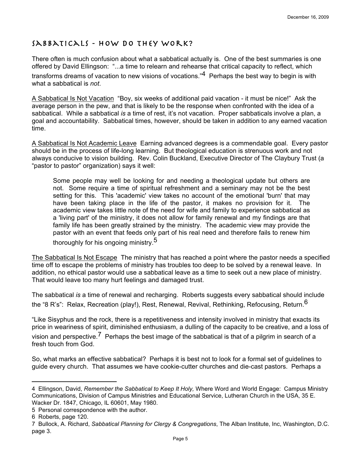# SABBATICALS - HOW DO THEY WORK?

There often is much confusion about what a sabbatical actually is. One of the best summaries is one offered by David Ellingson: "...a time to relearn and rehearse that critical capacity to reflect, which transforms dreams of vacation to new visions of vocations." $4$  Perhaps the best way to begin is with what a sabbatical is *not*.

A Sabbatical Is Not Vacation "Boy, six weeks of additional paid vacation - it must be nice!" Ask the average person in the pew, and that is likely to be the response when confronted with the idea of a sabbatical. While a sabbatical *is* a time of rest, it's not vacation. Proper sabbaticals involve a plan, a goal and accountability. Sabbatical times, however, should be taken in addition to any earned vacation time.

A Sabbatical Is Not Academic Leave Earning advanced degrees is a commendable goal. Every pastor should be in the process of life-long learning. But theological education is strenuous work and not always conducive to vision building. Rev. Colin Buckland, Executive Director of The Claybury Trust (a "pastor to pastor" organization) says it well:

Some people may well be looking for and needing a theological update but others are not. Some require a time of spiritual refreshment and a seminary may not be the best setting for this. This 'academic' view takes no account of the emotional 'burn' that may have been taking place in the life of the pastor, it makes no provision for it. The academic view takes little note of the need for wife and family to experience sabbatical as a 'living part' of the ministry, it does not allow for family renewal and my findings are that family life has been greatly strained by the ministry. The academic view may provide the pastor with an event that feeds only part of his real need and therefore fails to renew him

thoroughly for his ongoing ministry.<sup>5</sup>

The Sabbatical Is Not Escape The ministry that has reached a point where the pastor needs a specified time off to escape the problems of ministry has troubles too deep to be solved by a renewal leave. In addition, no ethical pastor would use a sabbatical leave as a time to seek out a new place of ministry. That would leave too many hurt feelings and damaged trust.

The sabbatical *is* a time of renewal and recharging. Roberts suggests every sabbatical should include the "8 R's": Relax, Recreation (play!), Rest, Renewal, Revival, Rethinking, Refocusing, Return.<sup>6</sup>

"Like Sisyphus and the rock, there is a repetitiveness and intensity involved in ministry that exacts its price in weariness of spirit, diminished enthusiasm, a dulling of the capacity to be creative, and a loss of

vision and perspective.<sup>7</sup> Perhaps the best image of the sabbatical is that of a pilgrim in search of a fresh touch from God.

So, what marks an effective sabbatical? Perhaps it is best not to look for a formal set of guidelines to guide every church. That assumes we have cookie-cutter churches and die-cast pastors. Perhaps a

<sup>4</sup> Ellingson, David, *Remember the Sabbatical to Keep It Holy,* Where Word and World Engage: Campus Ministry Communications, Division of Campus Ministries and Educational Service, Lutheran Church in the USA, 35 E. Wacker Dr. 1847, Chicago, IL 60601, May 1980.

<sup>5</sup> Personal correspondence with the author.

<sup>6</sup> Roberts, page 120.

<sup>7</sup> Bullock, A. Richard, *Sabbatical Planning for Clergy & Congregations*, The Alban Institute, Inc, Washington, D.C. page 3.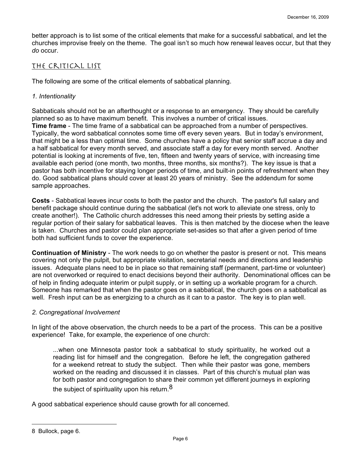better approach is to list some of the critical elements that make for a successful sabbatical, and let the churches improvise freely on the theme. The goal isn't so much how renewal leaves occur, but that they *do* occur.

#### The Critical List

The following are some of the critical elements of sabbatical planning.

#### *1. Intentionality*

Sabbaticals should not be an afterthought or a response to an emergency. They should be carefully planned so as to have maximum benefit. This involves a number of critical issues.

**Time frame** - The time frame of a sabbatical can be approached from a number of perspectives. Typically, the word sabbatical connotes some time off every seven years. But in today's environment, that might be a less than optimal time. Some churches have a policy that senior staff accrue a day and a half sabbatical for every month served, and associate staff a day for every month served. Another potential is looking at increments of five, ten, fifteen and twenty years of service, with increasing time available each period (one month, two months, three months, six months?). The key issue is that a pastor has both incentive for staying longer periods of time, and built-in points of refreshment when they do. Good sabbatical plans should cover at least 20 years of ministry. See the addendum for some sample approaches.

**Costs** - Sabbatical leaves incur costs to both the pastor and the church. The pastor's full salary and benefit package should continue during the sabbatical (let's not work to alleviate one stress, only to create another!). The Catholic church addresses this need among their priests by setting aside a regular portion of their salary for sabbatical leaves. This is then matched by the diocese when the leave is taken. Churches and pastor could plan appropriate set-asides so that after a given period of time both had sufficient funds to cover the experience.

**Continuation of Ministry** - The work needs to go on whether the pastor is present or not. This means covering not only the pulpit, but appropriate visitation, secretarial needs and directions and leadership issues. Adequate plans need to be in place so that remaining staff (permanent, part-time or volunteer) are not overworked or required to enact decisions beyond their authority. Denominational offices can be of help in finding adequate interim or pulpit supply, or in setting up a workable program for a church. Someone has remarked that when the pastor goes on a sabbatical, the church goes on a sabbatical as well. Fresh input can be as energizing to a church as it can to a pastor. The key is to plan well.

#### *2. Congregational Involvement*

In light of the above observation, the church needs to be a part of the process. This can be a positive experience! Take, for example, the experience of one church:

...when one Minnesota pastor took a sabbatical to study spirituality, he worked out a reading list for himself and the congregation. Before he left, the congregation gathered for a weekend retreat to study the subject. Then while their pastor was gone, members worked on the reading and discussed it in classes. Part of this church's mutual plan was for both pastor and congregation to share their common yet different journeys in exploring the subject of spirituality upon his return.  $8$ 

A good sabbatical experience should cause growth for all concerned.

<sup>8</sup> Bullock, page 6.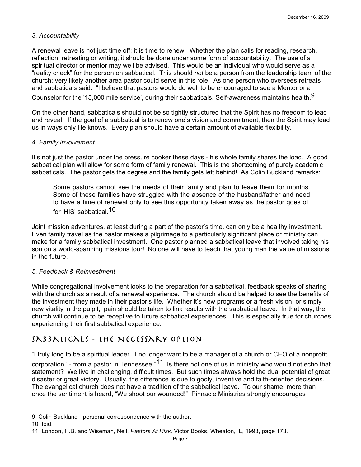#### *3. Accountability*

A renewal leave is not just time off; it is time to renew. Whether the plan calls for reading, research, reflection, retreating or writing, it should be done under some form of accountability. The use of a spiritual director or mentor may well be advised. This would be an individual who would serve as a "reality check" for the person on sabbatical. This should *not* be a person from the leadership team of the church; very likely another area pastor could serve in this role. As one person who oversees retreats and sabbaticals said: "I believe that pastors would do well to be encouraged to see a Mentor or a

Counselor for the '15,000 mile service', during their sabbaticals. Self-awareness maintains health.<sup>9</sup>

On the other hand, sabbaticals should not be so tightly structured that the Spirit has no freedom to lead and reveal. If the goal of a sabbatical is to renew one's vision and commitment, then the Spirit may lead us in ways only He knows. Every plan should have a certain amount of available flexibility.

#### *4. Family involvement*

It's not just the pastor under the pressure cooker these days - his whole family shares the load. A good sabbatical plan will allow for some form of family renewal. This is the shortcoming of purely academic sabbaticals. The pastor gets the degree and the family gets left behind! As Colin Buckland remarks:

Some pastors cannot see the needs of their family and plan to leave them for months. Some of these families have struggled with the absence of the husband/father and need to have a time of renewal only to see this opportunity taken away as the pastor goes off for 'HIS' sabbatical 10

Joint mission adventures, at least during a part of the pastor's time, can only be a healthy investment. Even family travel as the pastor makes a pilgrimage to a particularly significant place or ministry can make for a family sabbatical investment. One pastor planned a sabbatical leave that involved taking his son on a world-spanning missions tour! No one will have to teach that young man the value of missions in the future.

#### *5. Feedback & Reinvestment*

While congregational involvement looks to the preparation for a sabbatical, feedback speaks of sharing with the church as a result of a renewal experience. The church should be helped to see the benefits of the investment they made in their pastor's life. Whether it's new programs or a fresh vision, or simply new vitality in the pulpit, pain should be taken to link results with the sabbatical leave. In that way, the church will continue to be receptive to future sabbatical experiences. This is especially true for churches experiencing their first sabbatical experience.

## Sabbaticals - The Necessary Option

"I truly long to be a spiritual leader. I no longer want to be a manager of a church or CEO of a nonprofit

corporation.' - from a pastor in Tennessee. $n^{11}$  Is there not one of us in ministry who would not echo that statement? We live in challenging, difficult times. But such times always hold the dual potential of great disaster or great victory. Usually, the difference is due to godly, inventive and faith-oriented decisions. The evangelical church does not have a tradition of the sabbatical leave. To our shame, more than once the sentiment is heard, "We shoot our wounded!" Pinnacle Ministries strongly encourages

<sup>9</sup> Colin Buckland - personal correspondence with the author.

<sup>10</sup> Ibid.

<sup>11</sup> London, H.B. and Wiseman, Neil, *Pastors At Risk,* Victor Books, Wheaton, IL, 1993, page 173.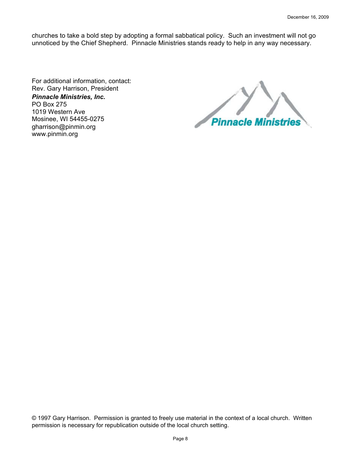churches to take a bold step by adopting a formal sabbatical policy. Such an investment will not go unnoticed by the Chief Shepherd. Pinnacle Ministries stands ready to help in any way necessary.

For additional information, contact: Rev. Gary Harrison, President *Pinnacle Ministries, Inc.* PO Box 275 1019 Western Ave Mosinee, WI 54455-0275 gharrison@pinmin.org www.pinmin.org

**Pinnacle Ministries** 

© 1997 Gary Harrison. Permission is granted to freely use material in the context of a local church. Written permission is necessary for republication outside of the local church setting.